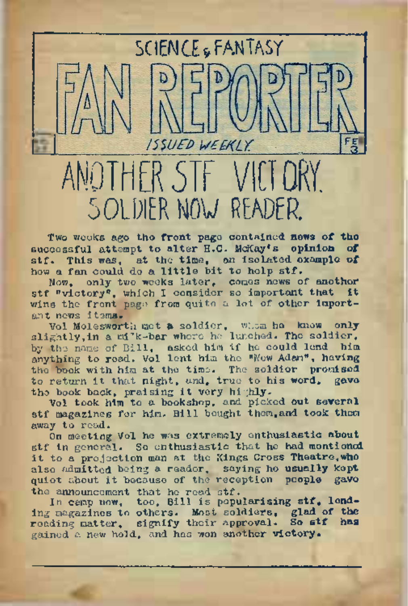ANOTHER 5TF VICTORY. SOLDIER NOW READER.

ISSUED WEEKIY

SCIENCE FANTASY

Two weeks ago the front page contained **news** of **tho** successful attempt to alter E.C. McKay's **opinion of** stf. This was, at the time, an isolated **example of** how a fan could do a little bit to help stf.

Now, only two. weeks later, comes news of another stf "victory", which I consider so important that it wins the front page from quite a lot of other important nows items.

Vol Molesworth met a soldier, whom he knew only slightly,in a milk-bar where ho lunched. Tho soldier, by the name of Bill, asked him if he could lend him anything to road. Vol lent him the "New Adam", having the book with him at the time. The soldior promised to return it that night, and, true to his word, gavo the book back, praising it very highly.

Vol took him to a bookshop, and picked out several stf magazines for him. Bill bought them,and took them away to read.

On meeting Vol he was extremely enthusiastic about stf in general. So enthusiastic that he had montioned it to <sup>a</sup> projection man at tho Kings Cross Theatre,who also admitted being a reader, saying he usually kept quiet about it because of the reception people gave the announcement that he read stf.

In camp now, too, Bill is popularising stf. lending magazines to others. Most soldiers, glad of the<br>reading matter, signify their approval. So stf has reading matter, signify their approval. gained a new hold, and has won another victory.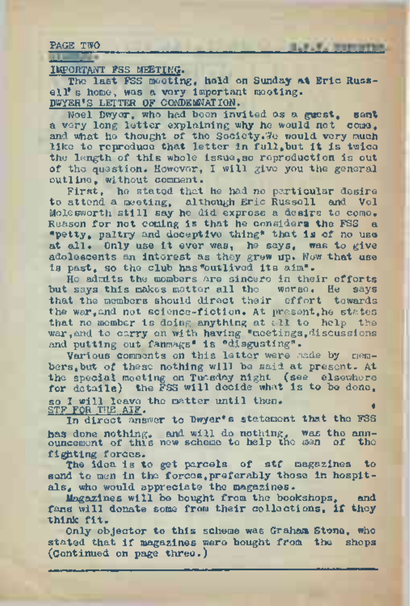PAGE TWO

IMPORTANT FSS MEETING.

The last FSS meeting, held, on Sunday **at** Eric **Russ**ell's home, was a very important meeting. DWYER'S LETTER OF CONDEMNATION.

**B.D.V. Washington** 

Noel Dwyer, who had been invited as a **guest, sent** a very long letter explaining why he would not come, and what he thought of the Society. Te would very much like to reproduce that letter in full, but it is twice the length of this whole issue,so reproduction is out of the question. However, I will give you the general outline, without comment.

First, he stated that he had no particular desire to attend a meeting, although Eric Russell and Vol Molesworth still say he did express a desire to come. Reason for not coming is that he considers the FSS a "petty, paltry and deceptive thing" that is of no use at all. Only use it ever was, he says, was to give adolescents an interest as they grew up. Now that use is past, so the club has"outlived its aim".

He admits the mombers are sincere in their efforts but says this makes matter all the worse. He says that the members should direct their effort towards the war,and not science-fiction. At present,he states that no member is doing anything at all to help the war, and to carry on with having "meetings, discussions and putting out fanmags<sup>8</sup> is "disgusting".

Various comments on this letter were made by members,but of these nothing will be said at present. At the special meeting on Tuesday night (see elsewhere for details) the FSS will decide what is to be done. so I will leave the matter until then.<br>STF FOR THE AIF.

STP FOR THE AIF.<br>In direct answer to Dwyer's statement that the FSS **has** done nothing, and will do nothing, was the announcement of this new scheme to help the men of the fighting forces.

The idea is to get parcels of stf magazines to send to men in the forces, preferably those in hospitals, who would appreciate the magazines.

Magazines will be bought from the bookshops, and fans will donate some from their collections, **if they** think fit.

Only objector to this scheme was Graham Stone, who stated that if magazines were bought from the shops (Continued on page three.)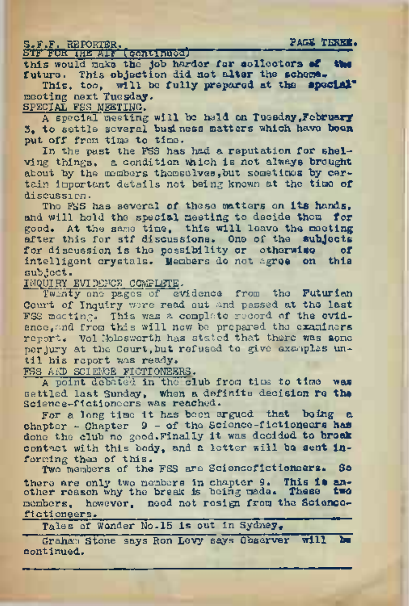S.F.F. REPORTER. **PAGE TERSE. STF'FUR' THE'ACT'''('5bhtiftded)"\*'"~ ■■■—■■ ■ ———** this would males **the Job** harder **for collectors \*f the future.** This **objection did not altar the scheme. This, too, will be fully prepared at the special\* neoting next Tuesday.**

SPECIAL FSS NEETING.

<sup>A</sup> special meeting **will** be **held on Tuesday.February 3. to** settle several **business matters which have boon put off** from time **to** time.

In the past the FSS has had a reputation for **shel**ving things, a condition **vhich** is not **always brought** about by the members themselves,**but** sometimes **by cer**tain important details not being known at the time of discussion\*

Tho FSS has several **of** these **matters** on **its hands,** and will hold the special meeting to decide **them, for** good. **At** the same time, this will leave **the meeting** after this for stf discussions. One of the **subjects** for discussion is the possibility or **otherwise of** intelligent crystals. Members do not **agree on this** subject.

INQUIRY EVIDENCE COMPLETE.

Twenty one pages of <sup>e</sup>'vidence from the **Futurian** Court of Inquiry wore read out and passed at the last FSS meeting. This was a complete record of **the evid**ence,and from this will now bo prepared tho **oxaminors** report« Vol Itfolesworth has stated that there **was some** perjury at the Court,**but** refused to give examples **un**til his report was ready.

FSS AND SCIENCE FICTIONEERS.

A point debated in the club from time to time was settled last Sunday, when a definite decision re the Science-fictioneers was reached.

For a long time it has been argued that being a chapter - Chapter <sup>9</sup> - of the Scionce-f**ictioneers has** done the club no good.Finally it was decided **to brack** contact with this body, and a letter will **bo sent In**forming them of this.

Two members of the FSS are Sciencefictioneers. **So** there are only two members **in** chapter **9. This is an**other reason why the break is being made# **These two** members, however, need not resign from the **Science**fictioneers.<br>Tales of Wonder No.15 is out in Sydney.

Graham"stone says Ron Levy says Observer **will bo** continued.